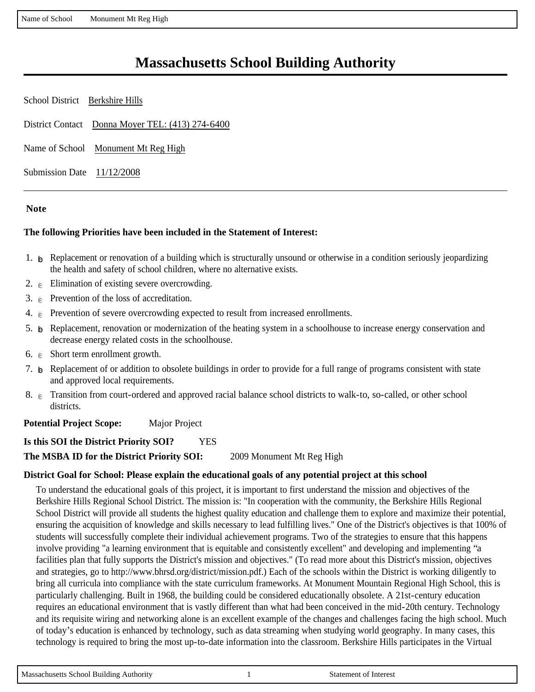Name of School Monument Mt Reg High

## **Massachusetts School Building Authority**

School District Berkshire Hills District Contact Donna Moyer TEL: (413) 274-6400 Name of School Monument Mt Reg High Submission Date 11/12/2008

#### **Note**

#### **The following Priorities have been included in the Statement of Interest:**

- 1.  $\beta$  Replacement or renovation of a building which is structurally unsound or otherwise in a condition seriously jeopardizing the health and safety of school children, where no alternative exists.
- 2.  $\epsilon$  Elimination of existing severe overcrowding.
- 3.  $\epsilon$  Prevention of the loss of accreditation.
- 4.  $\epsilon$  Prevention of severe overcrowding expected to result from increased enrollments.
- 5.  $\beta$  Replacement, renovation or modernization of the heating system in a schoolhouse to increase energy conservation and decrease energy related costs in the schoolhouse.
- 6.  $\epsilon$  Short term enrollment growth.
- 7.  $\epsilon$  Replacement of or addition to obsolete buildings in order to provide for a full range of programs consistent with state and approved local requirements.
- 8.  $\epsilon$  Transition from court-ordered and approved racial balance school districts to walk-to, so-called, or other school districts.

**Potential Project Scope:** Major Project

**Is this SOI the District Priority SOI?** YES **The MSBA ID for the District Priority SOI:** 2009 Monument Mt Reg High

#### **District Goal for School: Please explain the educational goals of any potential project at this school**

To understand the educational goals of this project, it is important to first understand the mission and objectives of the Berkshire Hills Regional School District. The mission is: "In cooperation with the community, the Berkshire Hills Regional School District will provide all students the highest quality education and challenge them to explore and maximize their potential, ensuring the acquisition of knowledge and skills necessary to lead fulfilling lives." One of the District's objectives is that 100% of students will successfully complete their individual achievement programs. Two of the strategies to ensure that this happens involve providing "a learning environment that is equitable and consistently excellent" and developing and implementing "a facilities plan that fully supports the District's mission and objectives." (To read more about this District's mission, objectives and strategies, go to http://www.bhrsd.org/district/mission.pdf.) Each of the schools within the District is working diligently to bring all curricula into compliance with the state curriculum frameworks. At Monument Mountain Regional High School, this is particularly challenging. Built in 1968, the building could be considered educationally obsolete. A 21st-century education requires an educational environment that is vastly different than what had been conceived in the mid-20th century. Technology and its requisite wiring and networking alone is an excellent example of the changes and challenges facing the high school. Much of today's education is enhanced by technology, such as data streaming when studying world geography. In many cases, this technology is required to bring the most up-to-date information into the classroom. Berkshire Hills participates in the Virtual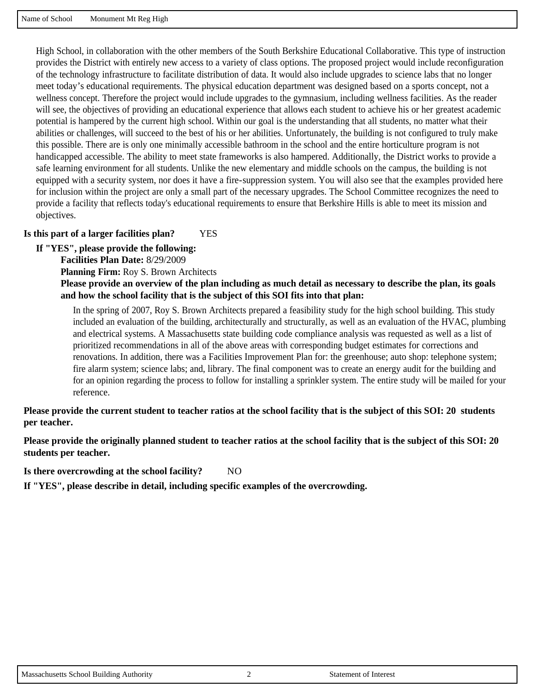High School, in collaboration with the other members of the South Berkshire Educational Collaborative. This type of instruction provides the District with entirely new access to a variety of class options. The proposed project would include reconfiguration of the technology infrastructure to facilitate distribution of data. It would also include upgrades to science labs that no longer meet today's educational requirements. The physical education department was designed based on a sports concept, not a wellness concept. Therefore the project would include upgrades to the gymnasium, including wellness facilities. As the reader will see, the objectives of providing an educational experience that allows each student to achieve his or her greatest academic potential is hampered by the current high school. Within our goal is the understanding that all students, no matter what their abilities or challenges, will succeed to the best of his or her abilities. Unfortunately, the building is not configured to truly make this possible. There are is only one minimally accessible bathroom in the school and the entire horticulture program is not handicapped accessible. The ability to meet state frameworks is also hampered. Additionally, the District works to provide a safe learning environment for all students. Unlike the new elementary and middle schools on the campus, the building is not equipped with a security system, nor does it have a fire-suppression system. You will also see that the examples provided here for inclusion within the project are only a small part of the necessary upgrades. The School Committee recognizes the need to provide a facility that reflects today's educational requirements to ensure that Berkshire Hills is able to meet its mission and objectives.

#### **Is this part of a larger facilities plan?** YES

**If "YES", please provide the following:**

**Facilities Plan Date:** 8/29/2009

**Planning Firm:** Roy S. Brown Architects

**Please provide an overview of the plan including as much detail as necessary to describe the plan, its goals and how the school facility that is the subject of this SOI fits into that plan:**

In the spring of 2007, Roy S. Brown Architects prepared a feasibility study for the high school building. This study included an evaluation of the building, architecturally and structurally, as well as an evaluation of the HVAC, plumbing and electrical systems. A Massachusetts state building code compliance analysis was requested as well as a list of prioritized recommendations in all of the above areas with corresponding budget estimates for corrections and renovations. In addition, there was a Facilities Improvement Plan for: the greenhouse; auto shop: telephone system; fire alarm system; science labs; and, library. The final component was to create an energy audit for the building and for an opinion regarding the process to follow for installing a sprinkler system. The entire study will be mailed for your reference.

**Please provide the current student to teacher ratios at the school facility that is the subject of this SOI: 20 students per teacher.**

**Please provide the originally planned student to teacher ratios at the school facility that is the subject of this SOI: 20 students per teacher.**

Is there overcrowding at the school facility? NO

**If "YES", please describe in detail, including specific examples of the overcrowding.**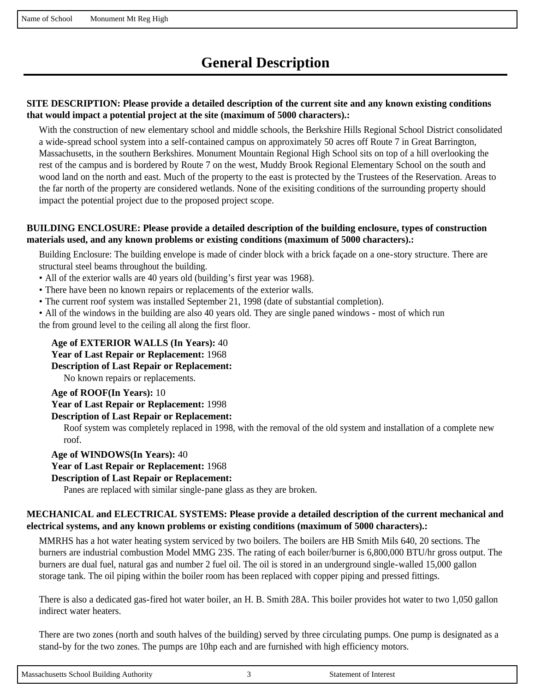# **General Description**

#### **SITE DESCRIPTION: Please provide a detailed description of the current site and any known existing conditions that would impact a potential project at the site (maximum of 5000 characters).:**

With the construction of new elementary school and middle schools, the Berkshire Hills Regional School District consolidated a wide-spread school system into a self-contained campus on approximately 50 acres off Route 7 in Great Barrington, Massachusetts, in the southern Berkshires. Monument Mountain Regional High School sits on top of a hill overlooking the rest of the campus and is bordered by Route 7 on the west, Muddy Brook Regional Elementary School on the south and wood land on the north and east. Much of the property to the east is protected by the Trustees of the Reservation. Areas to the far north of the property are considered wetlands. None of the exisiting conditions of the surrounding property should impact the potential project due to the proposed project scope.

#### **BUILDING ENCLOSURE: Please provide a detailed description of the building enclosure, types of construction materials used, and any known problems or existing conditions (maximum of 5000 characters).:**

Building Enclosure: The building envelope is made of cinder block with a brick façade on a one-story structure. There are structural steel beams throughout the building.

- All of the exterior walls are 40 years old (building's first year was 1968).
- There have been no known repairs or replacements of the exterior walls.
- The current roof system was installed September 21, 1998 (date of substantial completion).
- All of the windows in the building are also 40 years old. They are single paned windows most of which run the from ground level to the ceiling all along the first floor.

#### **Age of EXTERIOR WALLS (In Years):** 40

**Year of Last Repair or Replacement:** 1968

#### **Description of Last Repair or Replacement:**

No known repairs or replacements.

#### **Age of ROOF(In Years):** 10

**Year of Last Repair or Replacement:** 1998

#### **Description of Last Repair or Replacement:**

Roof system was completely replaced in 1998, with the removal of the old system and installation of a complete new roof.

#### **Age of WINDOWS(In Years):** 40

**Year of Last Repair or Replacement:** 1968

#### **Description of Last Repair or Replacement:**

Panes are replaced with similar single-pane glass as they are broken.

#### **MECHANICAL and ELECTRICAL SYSTEMS: Please provide a detailed description of the current mechanical and electrical systems, and any known problems or existing conditions (maximum of 5000 characters).:**

MMRHS has a hot water heating system serviced by two boilers. The boilers are HB Smith Mils 640, 20 sections. The burners are industrial combustion Model MMG 23S. The rating of each boiler/burner is 6,800,000 BTU/hr gross output. The burners are dual fuel, natural gas and number 2 fuel oil. The oil is stored in an underground single-walled 15,000 gallon storage tank. The oil piping within the boiler room has been replaced with copper piping and pressed fittings.

There is also a dedicated gas-fired hot water boiler, an H. B. Smith 28A. This boiler provides hot water to two 1,050 gallon indirect water heaters.

There are two zones (north and south halves of the building) served by three circulating pumps. One pump is designated as a stand-by for the two zones. The pumps are 10hp each and are furnished with high efficiency motors.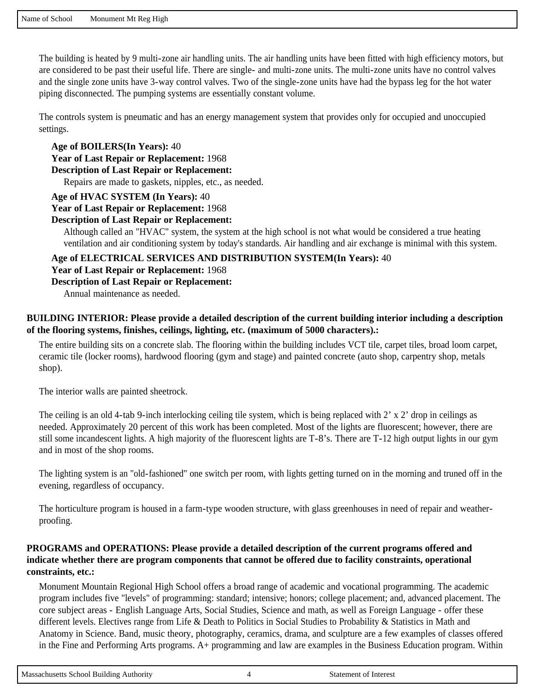The building is heated by 9 multi-zone air handling units. The air handling units have been fitted with high efficiency motors, but are considered to be past their useful life. There are single- and multi-zone units. The multi-zone units have no control valves and the single zone units have 3-way control valves. Two of the single-zone units have had the bypass leg for the hot water piping disconnected. The pumping systems are essentially constant volume.

The controls system is pneumatic and has an energy management system that provides only for occupied and unoccupied settings.

**Age of BOILERS(In Years):** 40 **Year of Last Repair or Replacement:** 1968

**Description of Last Repair or Replacement:** 

Repairs are made to gaskets, nipples, etc., as needed.

**Age of HVAC SYSTEM (In Years):** 40

**Year of Last Repair or Replacement:** 1968

#### **Description of Last Repair or Replacement:**

Although called an "HVAC" system, the system at the high school is not what would be considered a true heating ventilation and air conditioning system by today's standards. Air handling and air exchange is minimal with this system.

**Age of ELECTRICAL SERVICES AND DISTRIBUTION SYSTEM(In Years):** 40

**Year of Last Repair or Replacement:** 1968

**Description of Last Repair or Replacement:** 

Annual maintenance as needed.

#### **BUILDING INTERIOR: Please provide a detailed description of the current building interior including a description of the flooring systems, finishes, ceilings, lighting, etc. (maximum of 5000 characters).:**

The entire building sits on a concrete slab. The flooring within the building includes VCT tile, carpet tiles, broad loom carpet, ceramic tile (locker rooms), hardwood flooring (gym and stage) and painted concrete (auto shop, carpentry shop, metals shop).

The interior walls are painted sheetrock.

The ceiling is an old 4-tab 9-inch interlocking ceiling tile system, which is being replaced with  $2' \times 2'$  drop in ceilings as needed. Approximately 20 percent of this work has been completed. Most of the lights are fluorescent; however, there are still some incandescent lights. A high majority of the fluorescent lights are T-8's. There are T-12 high output lights in our gym and in most of the shop rooms.

The lighting system is an "old-fashioned" one switch per room, with lights getting turned on in the morning and truned off in the evening, regardless of occupancy.

The horticulture program is housed in a farm-type wooden structure, with glass greenhouses in need of repair and weatherproofing.

#### **PROGRAMS and OPERATIONS: Please provide a detailed description of the current programs offered and indicate whether there are program components that cannot be offered due to facility constraints, operational constraints, etc.:**

Monument Mountain Regional High School offers a broad range of academic and vocational programming. The academic program includes five "levels" of programming: standard; intensive; honors; college placement; and, advanced placement. The core subject areas - English Language Arts, Social Studies, Science and math, as well as Foreign Language - offer these different levels. Electives range from Life & Death to Politics in Social Studies to Probability & Statistics in Math and Anatomy in Science. Band, music theory, photography, ceramics, drama, and sculpture are a few examples of classes offered in the Fine and Performing Arts programs. A+ programming and law are examples in the Business Education program. Within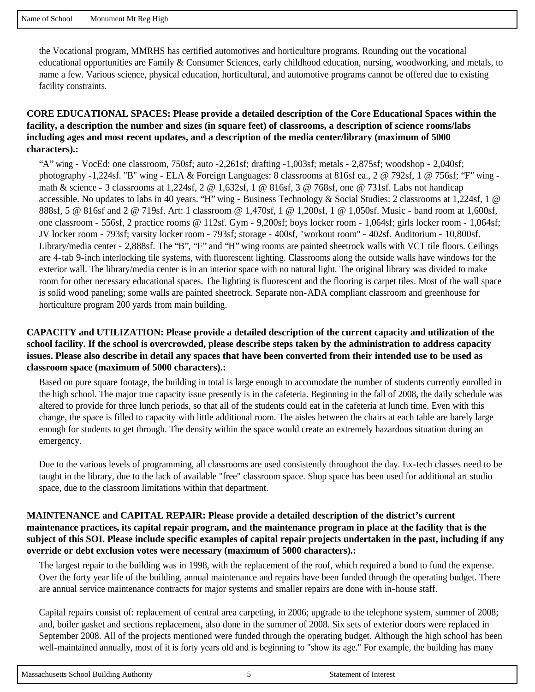the Vocational program, MMRHS has certified automotives and horticulture programs. Rounding out the vocational educational opportunities are Family & Consumer Sciences, early childhood education, nursing, woodworking, and metals, to name a few. Various science, physical education, horticultural, and automotive programs cannot be offered due to existing facility constraints.

#### **CORE EDUCATIONAL SPACES: Please provide a detailed description of the Core Educational Spaces within the facility, a description the number and sizes (in square feet) of classrooms, a description of science rooms/labs including ages and most recent updates, and a description of the media center/library (maximum of 5000 characters).:**

"A" wing - VocEd: one classroom, 750sf; auto -2,261sf; drafting -1,003sf; metals - 2,875sf; woodshop - 2,040sf; photography -1,224sf. "B" wing - ELA & Foreign Languages: 8 classrooms at 816sf ea., 2 @ 792sf, 1 @ 756sf; "F" wing math & science - 3 classrooms at 1,224sf, 2 @ 1,632sf, 1 @ 816sf, 3 @ 768sf, one @ 731sf. Labs not handicap accessible. No updates to labs in 40 years. "H" wing - Business Technology & Social Studies: 2 classrooms at 1,224sf, 1 @ 888sf, 5 @ 816sf and 2 @ 719sf. Art: 1 classroom @ 1,470sf, 1 @ 1,200sf, 1 @ 1,050sf. Music - band room at 1,600sf, one classroom - 556sf, 2 practice rooms @ 112sf. Gym - 9,200sf; boys locker room - 1,064sf; girls locker room - 1,064sf; JV locker room - 793sf; varsity locker room - 793sf; storage - 400sf, "workout room" - 402sf. Auditorium - 10,800sf. Library/media center - 2,888sf. The "B", "F" and "H" wing rooms are painted sheetrock walls with VCT tile floors. Ceilings are 4-tab 9-inch interlocking tile systems, with fluorescent lighting. Classrooms along the outside walls have windows for the exterior wall. The library/media center is in an interior space with no natural light. The original library was divided to make room for other necessary educational spaces. The lighting is fluorescent and the flooring is carpet tiles. Most of the wall space is solid wood paneling; some walls are painted sheetrock. Separate non-ADA compliant classroom and greenhouse for horticulture program 200 yards from main building.

#### **CAPACITY and UTILIZATION: Please provide a detailed description of the current capacity and utilization of the school facility. If the school is overcrowded, please describe steps taken by the administration to address capacity issues. Please also describe in detail any spaces that have been converted from their intended use to be used as classroom space (maximum of 5000 characters).:**

Based on pure square footage, the building in total is large enough to accomodate the number of students currently enrolled in the high school. The major true capacity issue presently is in the cafeteria. Beginning in the fall of 2008, the daily schedule was altered to provide for three lunch periods, so that all of the students could eat in the cafeteria at lunch time. Even with this change, the space is filled to capacity with little additional room. The aisles between the chairs at each table are barely large enough for students to get through. The density within the space would create an extremely hazardous situation during an emergency.

Due to the various levels of programming, all classrooms are used consistently throughout the day. Ex-tech classes need to be taught in the library, due to the lack of available "free" classroom space. Shop space has been used for additional art studio space, due to the classroom limitations within that department.

#### **MAINTENANCE and CAPITAL REPAIR: Please provide a detailed description of the district's current maintenance practices, its capital repair program, and the maintenance program in place at the facility that is the subject of this SOI. Please include specific examples of capital repair projects undertaken in the past, including if any override or debt exclusion votes were necessary (maximum of 5000 characters).:**

The largest repair to the building was in 1998, with the replacement of the roof, which required a bond to fund the expense. Over the forty year life of the building, annual maintenance and repairs have been funded through the operating budget. There are annual service maintenance contracts for major systems and smaller repairs are done with in-house staff.

Capital repairs consist of: replacement of central area carpeting, in 2006; upgrade to the telephone system, summer of 2008; and, boiler gasket and sections replacement, also done in the summer of 2008. Six sets of exterior doors were replaced in September 2008. All of the projects mentioned were funded through the operating budget. Although the high school has been well-maintained annually, most of it is forty years old and is beginning to "show its age." For example, the building has many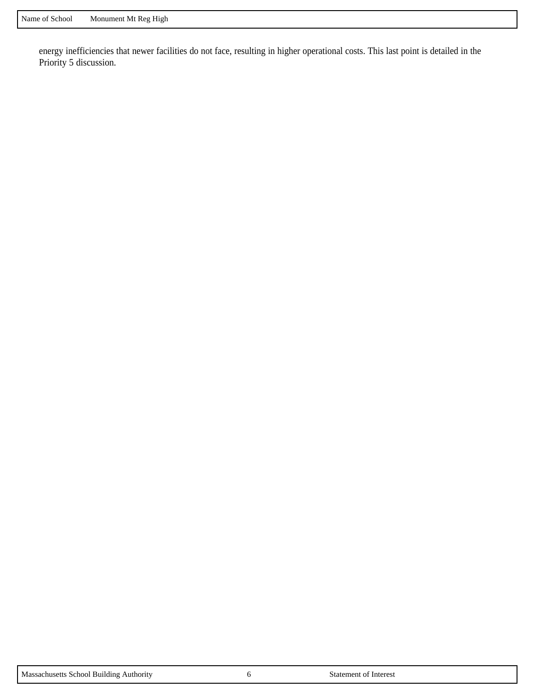energy inefficiencies that newer facilities do not face, resulting in higher operational costs. This last point is detailed in the Priority 5 discussion.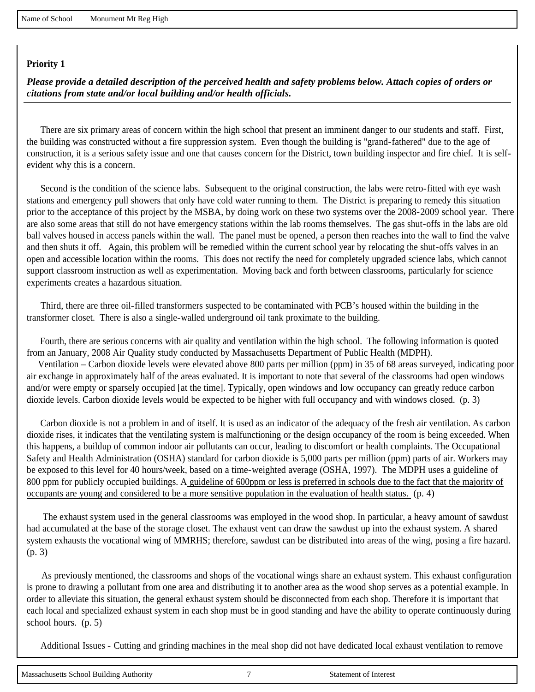*Please provide a detailed description of the perceived health and safety problems below. Attach copies of orders or citations from state and/or local building and/or health officials.*

 There are six primary areas of concern within the high school that present an imminent danger to our students and staff. First, the building was constructed without a fire suppression system. Even though the building is "grand-fathered" due to the age of construction, it is a serious safety issue and one that causes concern for the District, town building inspector and fire chief. It is selfevident why this is a concern.

 Second is the condition of the science labs. Subsequent to the original construction, the labs were retro-fitted with eye wash stations and emergency pull showers that only have cold water running to them. The District is preparing to remedy this situation prior to the acceptance of this project by the MSBA, by doing work on these two systems over the 2008-2009 school year. There are also some areas that still do not have emergency stations within the lab rooms themselves. The gas shut-offs in the labs are old ball valves housed in access panels within the wall. The panel must be opened, a person then reaches into the wall to find the valve and then shuts it off. Again, this problem will be remedied within the current school year by relocating the shut-offs valves in an open and accessible location within the rooms. This does not rectify the need for completely upgraded science labs, which cannot support classroom instruction as well as experimentation. Moving back and forth between classrooms, particularly for science experiments creates a hazardous situation.

 Third, there are three oil-filled transformers suspected to be contaminated with PCB's housed within the building in the transformer closet. There is also a single-walled underground oil tank proximate to the building.

 Fourth, there are serious concerns with air quality and ventilation within the high school. The following information is quoted from an January, 2008 Air Quality study conducted by Massachusetts Department of Public Health (MDPH).

 Ventilation – Carbon dioxide levels were elevated above 800 parts per million (ppm) in 35 of 68 areas surveyed, indicating poor air exchange in approximately half of the areas evaluated. It is important to note that several of the classrooms had open windows and/or were empty or sparsely occupied [at the time]. Typically, open windows and low occupancy can greatly reduce carbon dioxide levels. Carbon dioxide levels would be expected to be higher with full occupancy and with windows closed. (p. 3)

 Carbon dioxide is not a problem in and of itself. It is used as an indicator of the adequacy of the fresh air ventilation. As carbon dioxide rises, it indicates that the ventilating system is malfunctioning or the design occupancy of the room is being exceeded. When this happens, a buildup of common indoor air pollutants can occur, leading to discomfort or health complaints. The Occupational Safety and Health Administration (OSHA) standard for carbon dioxide is 5,000 parts per million (ppm) parts of air. Workers may be exposed to this level for 40 hours/week, based on a time-weighted average (OSHA, 1997). The MDPH uses a guideline of 800 ppm for publicly occupied buildings. A guideline of 600ppm or less is preferred in schools due to the fact that the majority of occupants are young and considered to be a more sensitive population in the evaluation of health status. (p. 4)

 The exhaust system used in the general classrooms was employed in the wood shop. In particular, a heavy amount of sawdust had accumulated at the base of the storage closet. The exhaust vent can draw the sawdust up into the exhaust system. A shared system exhausts the vocational wing of MMRHS; therefore, sawdust can be distributed into areas of the wing, posing a fire hazard. (p. 3)

 As previously mentioned, the classrooms and shops of the vocational wings share an exhaust system. This exhaust configuration is prone to drawing a pollutant from one area and distributing it to another area as the wood shop serves as a potential example. In order to alleviate this situation, the general exhaust system should be disconnected from each shop. Therefore it is important that each local and specialized exhaust system in each shop must be in good standing and have the ability to operate continuously during school hours. (p. 5)

Additional Issues - Cutting and grinding machines in the meal shop did not have dedicated local exhaust ventilation to remove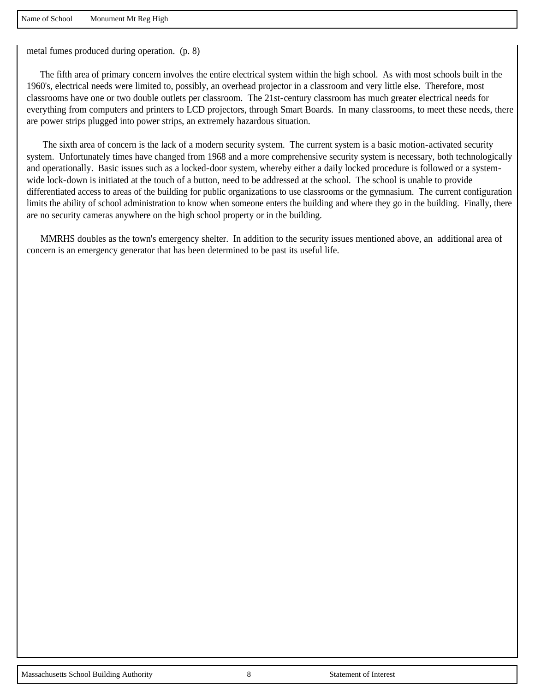Name of School Monument Mt Reg High

metal fumes produced during operation. (p. 8)

 The fifth area of primary concern involves the entire electrical system within the high school. As with most schools built in the 1960's, electrical needs were limited to, possibly, an overhead projector in a classroom and very little else. Therefore, most classrooms have one or two double outlets per classroom. The 21st-century classroom has much greater electrical needs for everything from computers and printers to LCD projectors, through Smart Boards. In many classrooms, to meet these needs, there are power strips plugged into power strips, an extremely hazardous situation.

 The sixth area of concern is the lack of a modern security system. The current system is a basic motion-activated security system. Unfortunately times have changed from 1968 and a more comprehensive security system is necessary, both technologically and operationally. Basic issues such as a locked-door system, whereby either a daily locked procedure is followed or a systemwide lock-down is initiated at the touch of a button, need to be addressed at the school. The school is unable to provide differentiated access to areas of the building for public organizations to use classrooms or the gymnasium. The current configuration limits the ability of school administration to know when someone enters the building and where they go in the building. Finally, there are no security cameras anywhere on the high school property or in the building.

 MMRHS doubles as the town's emergency shelter. In addition to the security issues mentioned above, an additional area of concern is an emergency generator that has been determined to be past its useful life.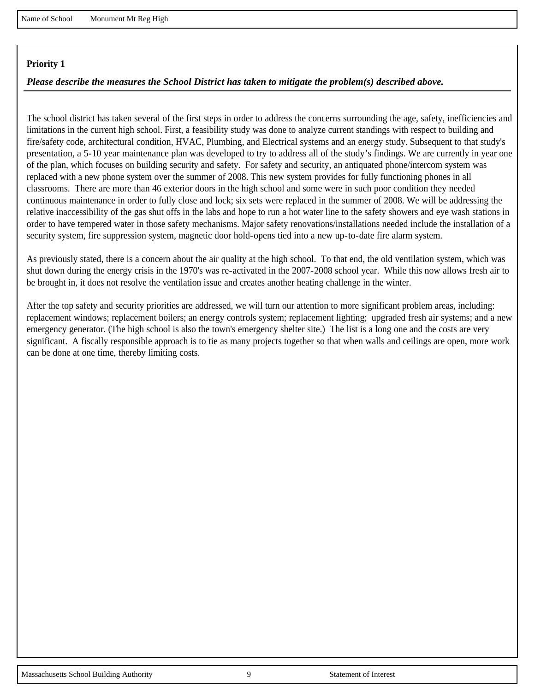#### *Please describe the measures the School District has taken to mitigate the problem(s) described above.*

The school district has taken several of the first steps in order to address the concerns surrounding the age, safety, inefficiencies and limitations in the current high school. First, a feasibility study was done to analyze current standings with respect to building and fire/safety code, architectural condition, HVAC, Plumbing, and Electrical systems and an energy study. Subsequent to that study's presentation, a 5-10 year maintenance plan was developed to try to address all of the study's findings. We are currently in year one of the plan, which focuses on building security and safety. For safety and security, an antiquated phone/intercom system was replaced with a new phone system over the summer of 2008. This new system provides for fully functioning phones in all classrooms. There are more than 46 exterior doors in the high school and some were in such poor condition they needed continuous maintenance in order to fully close and lock; six sets were replaced in the summer of 2008. We will be addressing the relative inaccessibility of the gas shut offs in the labs and hope to run a hot water line to the safety showers and eye wash stations in order to have tempered water in those safety mechanisms. Major safety renovations/installations needed include the installation of a security system, fire suppression system, magnetic door hold-opens tied into a new up-to-date fire alarm system.

As previously stated, there is a concern about the air quality at the high school. To that end, the old ventilation system, which was shut down during the energy crisis in the 1970's was re-activated in the 2007-2008 school year. While this now allows fresh air to be brought in, it does not resolve the ventilation issue and creates another heating challenge in the winter.

After the top safety and security priorities are addressed, we will turn our attention to more significant problem areas, including: replacement windows; replacement boilers; an energy controls system; replacement lighting; upgraded fresh air systems; and a new emergency generator. (The high school is also the town's emergency shelter site.) The list is a long one and the costs are very significant. A fiscally responsible approach is to tie as many projects together so that when walls and ceilings are open, more work can be done at one time, thereby limiting costs.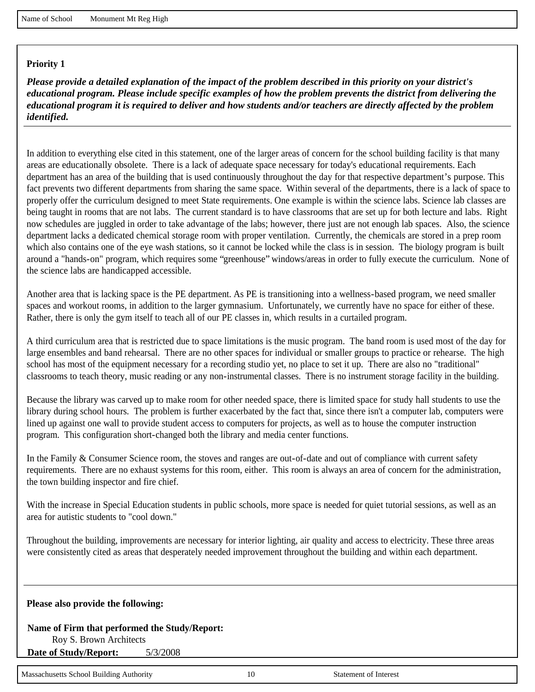*Please provide a detailed explanation of the impact of the problem described in this priority on your district's educational program. Please include specific examples of how the problem prevents the district from delivering the educational program it is required to deliver and how students and/or teachers are directly affected by the problem identified.*

In addition to everything else cited in this statement, one of the larger areas of concern for the school building facility is that many areas are educationally obsolete. There is a lack of adequate space necessary for today's educational requirements. Each department has an area of the building that is used continuously throughout the day for that respective department's purpose. This fact prevents two different departments from sharing the same space. Within several of the departments, there is a lack of space to properly offer the curriculum designed to meet State requirements. One example is within the science labs. Science lab classes are being taught in rooms that are not labs. The current standard is to have classrooms that are set up for both lecture and labs. Right now schedules are juggled in order to take advantage of the labs; however, there just are not enough lab spaces. Also, the science department lacks a dedicated chemical storage room with proper ventilation. Currently, the chemicals are stored in a prep room which also contains one of the eye wash stations, so it cannot be locked while the class is in session. The biology program is built around a "hands-on" program, which requires some "greenhouse" windows/areas in order to fully execute the curriculum. None of the science labs are handicapped accessible.

Another area that is lacking space is the PE department. As PE is transitioning into a wellness-based program, we need smaller spaces and workout rooms, in addition to the larger gymnasium. Unfortunately, we currently have no space for either of these. Rather, there is only the gym itself to teach all of our PE classes in, which results in a curtailed program.

A third curriculum area that is restricted due to space limitations is the music program. The band room is used most of the day for large ensembles and band rehearsal. There are no other spaces for individual or smaller groups to practice or rehearse. The high school has most of the equipment necessary for a recording studio yet, no place to set it up. There are also no "traditional" classrooms to teach theory, music reading or any non-instrumental classes. There is no instrument storage facility in the building.

Because the library was carved up to make room for other needed space, there is limited space for study hall students to use the library during school hours. The problem is further exacerbated by the fact that, since there isn't a computer lab, computers were lined up against one wall to provide student access to computers for projects, as well as to house the computer instruction program. This configuration short-changed both the library and media center functions.

In the Family & Consumer Science room, the stoves and ranges are out-of-date and out of compliance with current safety requirements. There are no exhaust systems for this room, either. This room is always an area of concern for the administration, the town building inspector and fire chief.

With the increase in Special Education students in public schools, more space is needed for quiet tutorial sessions, as well as an area for autistic students to "cool down."

Throughout the building, improvements are necessary for interior lighting, air quality and access to electricity. These three areas were consistently cited as areas that desperately needed improvement throughout the building and within each department.

**Please also provide the following:**

**Name of Firm that performed the Study/Report:**  Roy S. Brown Architects **Date of Study/Report:** 5/3/2008

Massachusetts School Building Authority 10 10 Statement of Interest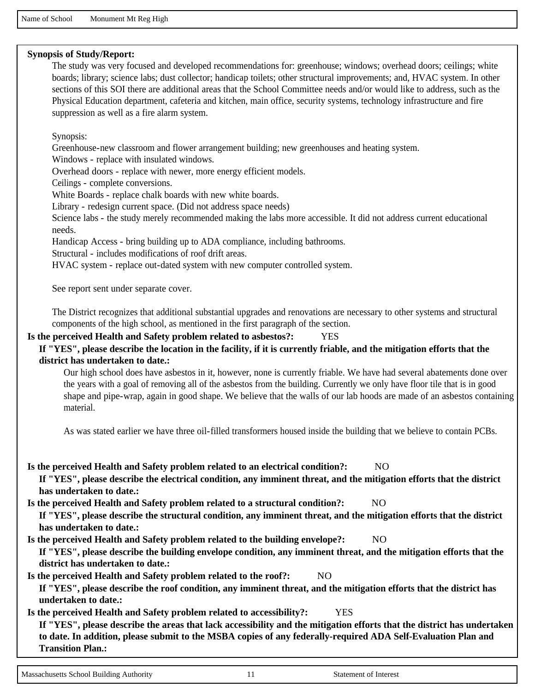Name of School Monument Mt Reg High

#### **Synopsis of Study/Report:**

The study was very focused and developed recommendations for: greenhouse; windows; overhead doors; ceilings; white boards; library; science labs; dust collector; handicap toilets; other structural improvements; and, HVAC system. In other sections of this SOI there are additional areas that the School Committee needs and/or would like to address, such as the Physical Education department, cafeteria and kitchen, main office, security systems, technology infrastructure and fire suppression as well as a fire alarm system.

Synopsis:

Greenhouse-new classroom and flower arrangement building; new greenhouses and heating system.

Windows - replace with insulated windows.

Overhead doors - replace with newer, more energy efficient models.

Ceilings - complete conversions.

White Boards - replace chalk boards with new white boards.

Library - redesign current space. (Did not address space needs)

Science labs - the study merely recommended making the labs more accessible. It did not address current educational needs.

Handicap Access - bring building up to ADA compliance, including bathrooms.

Structural - includes modifications of roof drift areas.

HVAC system - replace out-dated system with new computer controlled system.

See report sent under separate cover.

The District recognizes that additional substantial upgrades and renovations are necessary to other systems and structural components of the high school, as mentioned in the first paragraph of the section.

#### **Is the perceived Health and Safety problem related to asbestos?:** YES

#### **If "YES", please describe the location in the facility, if it is currently friable, and the mitigation efforts that the district has undertaken to date.:**

Our high school does have asbestos in it, however, none is currently friable. We have had several abatements done over the years with a goal of removing all of the asbestos from the building. Currently we only have floor tile that is in good shape and pipe-wrap, again in good shape. We believe that the walls of our lab hoods are made of an asbestos containing material.

As was stated earlier we have three oil-filled transformers housed inside the building that we believe to contain PCBs.

**Is the perceived Health and Safety problem related to an electrical condition?:** NO

**If "YES", please describe the electrical condition, any imminent threat, and the mitigation efforts that the district has undertaken to date.:** 

**Is the perceived Health and Safety problem related to a structural condition?:** NO

**If "YES", please describe the structural condition, any imminent threat, and the mitigation efforts that the district has undertaken to date.:** 

**Is the perceived Health and Safety problem related to the building envelope?:** NO

**If "YES", please describe the building envelope condition, any imminent threat, and the mitigation efforts that the district has undertaken to date.:** 

Is the perceived Health and Safety problem related to the roof?: NO

**If "YES", please describe the roof condition, any imminent threat, and the mitigation efforts that the district has undertaken to date.:** 

**Is the perceived Health and Safety problem related to accessibility?:** YES **If "YES", please describe the areas that lack accessibility and the mitigation efforts that the district has undertaken to date. In addition, please submit to the MSBA copies of any federally-required ADA Self-Evaluation Plan and Transition Plan.:**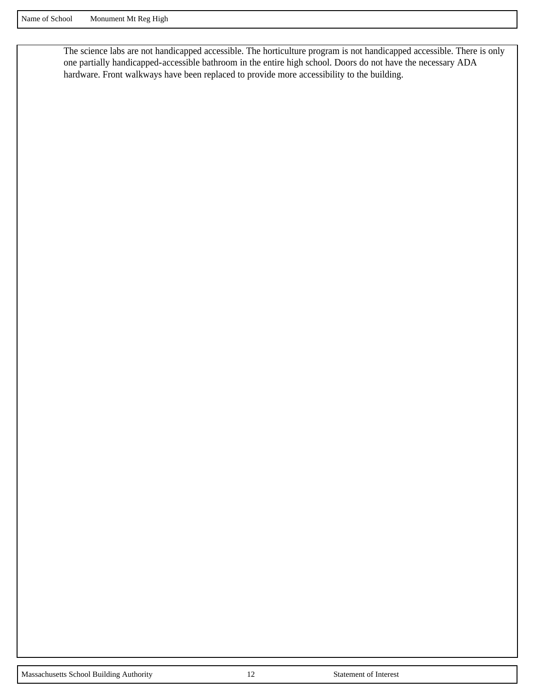The science labs are not handicapped accessible. The horticulture program is not handicapped accessible. There is only one partially handicapped-accessible bathroom in the entire high school. Doors do not have the necessary ADA hardware. Front walkways have been replaced to provide more accessibility to the building.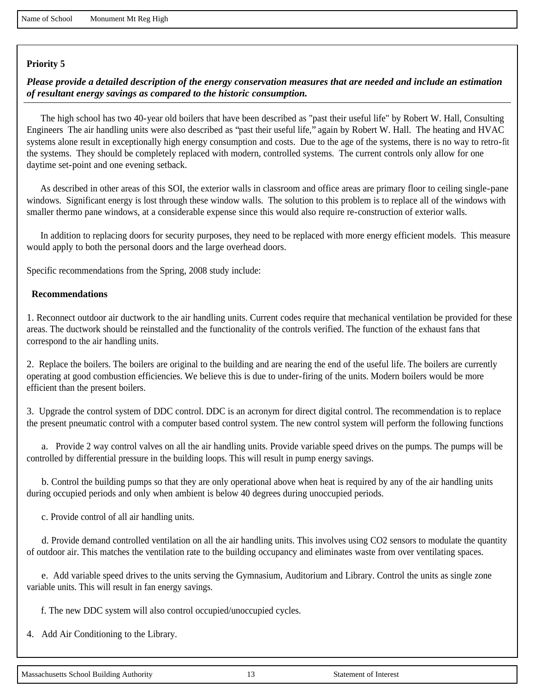*Please provide a detailed description of the energy conservation measures that are needed and include an estimation of resultant energy savings as compared to the historic consumption.*

 The high school has two 40-year old boilers that have been described as "past their useful life" by Robert W. Hall, Consulting Engineers The air handling units were also described as "past their useful life," again by Robert W. Hall. The heating and HVAC systems alone result in exceptionally high energy consumption and costs. Due to the age of the systems, there is no way to retro-fit the systems. They should be completely replaced with modern, controlled systems. The current controls only allow for one daytime set-point and one evening setback.

 As described in other areas of this SOI, the exterior walls in classroom and office areas are primary floor to ceiling single-pane windows. Significant energy is lost through these window walls. The solution to this problem is to replace all of the windows with smaller thermo pane windows, at a considerable expense since this would also require re-construction of exterior walls.

 In addition to replacing doors for security purposes, they need to be replaced with more energy efficient models. This measure would apply to both the personal doors and the large overhead doors.

Specific recommendations from the Spring, 2008 study include:

#### **Recommendations**

1. Reconnect outdoor air ductwork to the air handling units. Current codes require that mechanical ventilation be provided for these areas. The ductwork should be reinstalled and the functionality of the controls verified. The function of the exhaust fans that correspond to the air handling units.

2. Replace the boilers. The boilers are original to the building and are nearing the end of the useful life. The boilers are currently operating at good combustion efficiencies. We believe this is due to under-firing of the units. Modern boilers would be more efficient than the present boilers.

3. Upgrade the control system of DDC control. DDC is an acronym for direct digital control. The recommendation is to replace the present pneumatic control with a computer based control system. The new control system will perform the following functions

 a. Provide 2 way control valves on all the air handling units. Provide variable speed drives on the pumps. The pumps will be controlled by differential pressure in the building loops. This will result in pump energy savings.

 b. Control the building pumps so that they are only operational above when heat is required by any of the air handling units during occupied periods and only when ambient is below 40 degrees during unoccupied periods.

c. Provide control of all air handling units.

 d. Provide demand controlled ventilation on all the air handling units. This involves using CO2 sensors to modulate the quantity of outdoor air. This matches the ventilation rate to the building occupancy and eliminates waste from over ventilating spaces.

 e. Add variable speed drives to the units serving the Gymnasium, Auditorium and Library. Control the units as single zone variable units. This will result in fan energy savings.

f. The new DDC system will also control occupied/unoccupied cycles.

4. Add Air Conditioning to the Library.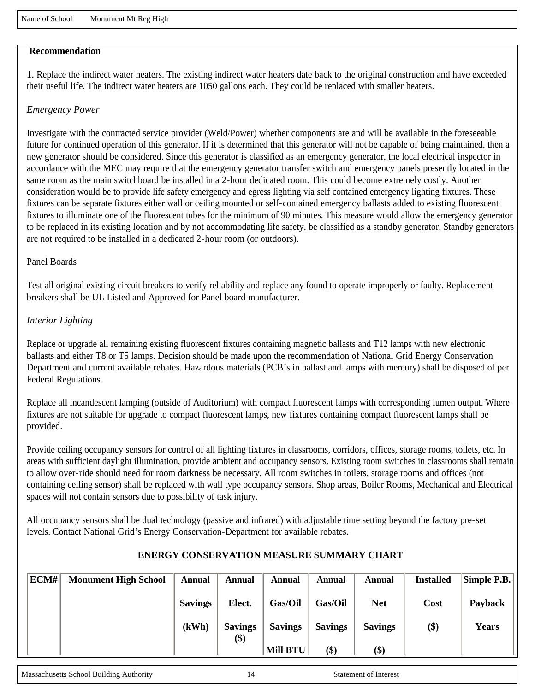#### **Recommendation**

1. Replace the indirect water heaters. The existing indirect water heaters date back to the original construction and have exceeded their useful life. The indirect water heaters are 1050 gallons each. They could be replaced with smaller heaters.

#### *Emergency Power*

Investigate with the contracted service provider (Weld/Power) whether components are and will be available in the foreseeable future for continued operation of this generator. If it is determined that this generator will not be capable of being maintained, then a new generator should be considered. Since this generator is classified as an emergency generator, the local electrical inspector in accordance with the MEC may require that the emergency generator transfer switch and emergency panels presently located in the same room as the main switchboard be installed in a 2-hour dedicated room. This could become extremely costly. Another consideration would be to provide life safety emergency and egress lighting via self contained emergency lighting fixtures. These fixtures can be separate fixtures either wall or ceiling mounted or self-contained emergency ballasts added to existing fluorescent fixtures to illuminate one of the fluorescent tubes for the minimum of 90 minutes. This measure would allow the emergency generator to be replaced in its existing location and by not accommodating life safety, be classified as a standby generator. Standby generators are not required to be installed in a dedicated 2-hour room (or outdoors).

#### Panel Boards

Test all original existing circuit breakers to verify reliability and replace any found to operate improperly or faulty. Replacement breakers shall be UL Listed and Approved for Panel board manufacturer.

#### *Interior Lighting*

Replace or upgrade all remaining existing fluorescent fixtures containing magnetic ballasts and T12 lamps with new electronic ballasts and either T8 or T5 lamps. Decision should be made upon the recommendation of National Grid Energy Conservation Department and current available rebates. Hazardous materials (PCB's in ballast and lamps with mercury) shall be disposed of per Federal Regulations.

Replace all incandescent lamping (outside of Auditorium) with compact fluorescent lamps with corresponding lumen output. Where fixtures are not suitable for upgrade to compact fluorescent lamps, new fixtures containing compact fluorescent lamps shall be provided.

Provide ceiling occupancy sensors for control of all lighting fixtures in classrooms, corridors, offices, storage rooms, toilets, etc. In areas with sufficient daylight illumination, provide ambient and occupancy sensors. Existing room switches in classrooms shall remain to allow over-ride should need for room darkness be necessary. All room switches in toilets, storage rooms and offices (not containing ceiling sensor) shall be replaced with wall type occupancy sensors. Shop areas, Boiler Rooms, Mechanical and Electrical spaces will not contain sensors due to possibility of task injury.

All occupancy sensors shall be dual technology (passive and infrared) with adjustable time setting beyond the factory pre-set levels. Contact National Grid's Energy Conservation-Department for available rebates.

| ECM# | <b>Monument High School</b> | Annual         | Annual         | Annual          | Annual         | Annual         | <b>Installed</b> | $\vert$ Simple P.B. $\vert$ |
|------|-----------------------------|----------------|----------------|-----------------|----------------|----------------|------------------|-----------------------------|
|      |                             | <b>Savings</b> | Elect.         | Gas/Oil         | Gas/Oil        | <b>Net</b>     | Cost             | Payback                     |
|      |                             | (kWh)          | <b>Savings</b> | <b>Savings</b>  | <b>Savings</b> | <b>Savings</b> | \$)              | <b>Years</b>                |
|      |                             |                | \$)            | <b>Mill BTU</b> | (\$)           | \$)            |                  |                             |

#### **ENERGY CONSERVATION MEASURE SUMMARY CHART**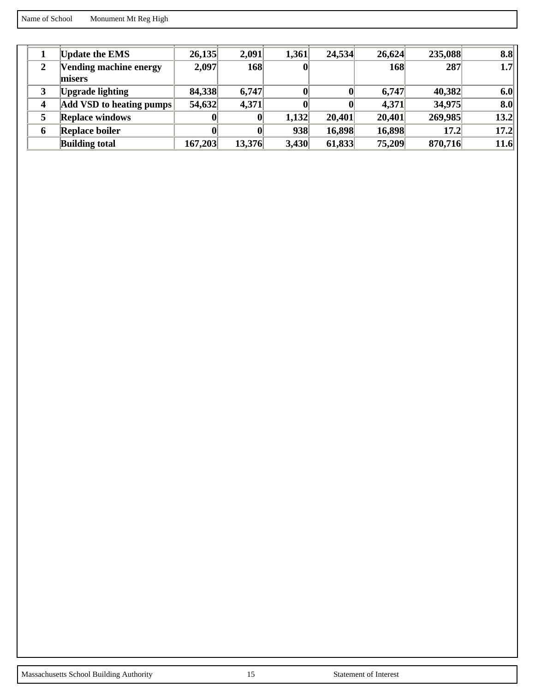Name of School Monument Mt Reg High

|   | <b>Update the EMS</b>    | 26,135  | 2,091  | 1,361 | 24,534 | 26,624 | 235,088 | 8.8              |
|---|--------------------------|---------|--------|-------|--------|--------|---------|------------------|
| 2 | Vending machine energy   | 2,097   | 168    | O     |        | 168    | 287     | 1.7 <sub>l</sub> |
|   | misers                   |         |        |       |        |        |         |                  |
| 3 | <b>Upgrade lighting</b>  | 84,338  | 6,747  |       |        | 6,747  | 40,382  | 6.0              |
| 4 | Add VSD to heating pumps | 54,632  | 4,371  |       |        | 4,371  | 34,975  | 8.0              |
| 5 | <b>Replace windows</b>   |         |        | 1,132 | 20,401 | 20,401 | 269,985 | 13.2             |
| 6 | <b>Replace boiler</b>    |         |        | 938   | 16,898 | 16,898 | 17.2    | 17.2             |
|   | <b>Building total</b>    | 167,203 | 13,376 | 3,430 | 61,833 | 75,209 | 870,716 | 11.6             |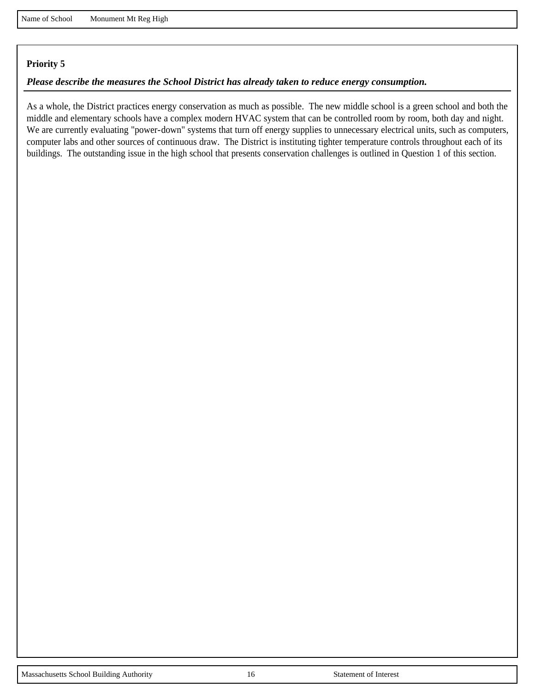#### *Please describe the measures the School District has already taken to reduce energy consumption.*

As a whole, the District practices energy conservation as much as possible. The new middle school is a green school and both the middle and elementary schools have a complex modern HVAC system that can be controlled room by room, both day and night. We are currently evaluating "power-down" systems that turn off energy supplies to unnecessary electrical units, such as computers, computer labs and other sources of continuous draw. The District is instituting tighter temperature controls throughout each of its buildings. The outstanding issue in the high school that presents conservation challenges is outlined in Question 1 of this section.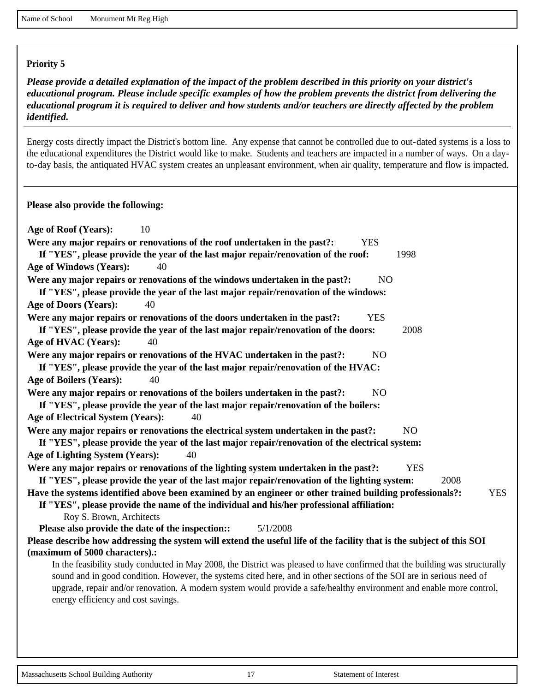*Please provide a detailed explanation of the impact of the problem described in this priority on your district's educational program. Please include specific examples of how the problem prevents the district from delivering the educational program it is required to deliver and how students and/or teachers are directly affected by the problem identified.*

Energy costs directly impact the District's bottom line. Any expense that cannot be controlled due to out-dated systems is a loss to the educational expenditures the District would like to make. Students and teachers are impacted in a number of ways. On a dayto-day basis, the antiquated HVAC system creates an unpleasant environment, when air quality, temperature and flow is impacted.

**Please also provide the following:**

| Age of Roof (Years):<br>10                                                                                                                                      |
|-----------------------------------------------------------------------------------------------------------------------------------------------------------------|
| Were any major repairs or renovations of the roof undertaken in the past?:<br><b>YES</b>                                                                        |
| If "YES", please provide the year of the last major repair/renovation of the roof:<br>1998                                                                      |
| Age of Windows (Years):<br>40                                                                                                                                   |
| Were any major repairs or renovations of the windows undertaken in the past?:<br>N <sub>O</sub>                                                                 |
| If "YES", please provide the year of the last major repair/renovation of the windows:                                                                           |
| <b>Age of Doors (Years):</b><br>40                                                                                                                              |
| <b>YES</b><br>Were any major repairs or renovations of the doors undertaken in the past?:                                                                       |
| If "YES", please provide the year of the last major repair/renovation of the doors:<br>2008                                                                     |
| Age of HVAC (Years):<br>40                                                                                                                                      |
| Were any major repairs or renovations of the HVAC undertaken in the past?:<br>N <sub>O</sub>                                                                    |
| If "YES", please provide the year of the last major repair/renovation of the HVAC:                                                                              |
| Age of Boilers (Years):<br>40                                                                                                                                   |
| Were any major repairs or renovations of the boilers undertaken in the past?:<br>N <sub>O</sub>                                                                 |
| If "YES", please provide the year of the last major repair/renovation of the boilers:                                                                           |
| Age of Electrical System (Years):<br>40                                                                                                                         |
| Were any major repairs or renovations the electrical system undertaken in the past?:<br>N <sub>O</sub>                                                          |
| If "YES", please provide the year of the last major repair/renovation of the electrical system:                                                                 |
| Age of Lighting System (Years):<br>40                                                                                                                           |
| Were any major repairs or renovations of the lighting system undertaken in the past?:<br><b>YES</b>                                                             |
| If "YES", please provide the year of the last major repair/renovation of the lighting system:<br>2008                                                           |
| Have the systems identified above been examined by an engineer or other trained building professionals?:<br><b>YES</b>                                          |
| If "YES", please provide the name of the individual and his/her professional affiliation:                                                                       |
| Roy S. Brown, Architects                                                                                                                                        |
| Please also provide the date of the inspection:<br>5/1/2008                                                                                                     |
| Please describe how addressing the system will extend the useful life of the facility that is the subject of this SOI                                           |
| (maximum of 5000 characters).:<br>In the feasibility study conducted in May 2008, the District was pleased to have confirmed that the building was structurally |
| sound and in good condition. However, the systems cited here, and in other sections of the SOI are in serious need of                                           |
| upgrade, repair and/or renovation. A modern system would provide a safe/healthy environment and enable more control,                                            |
| energy efficiency and cost savings.                                                                                                                             |
|                                                                                                                                                                 |
|                                                                                                                                                                 |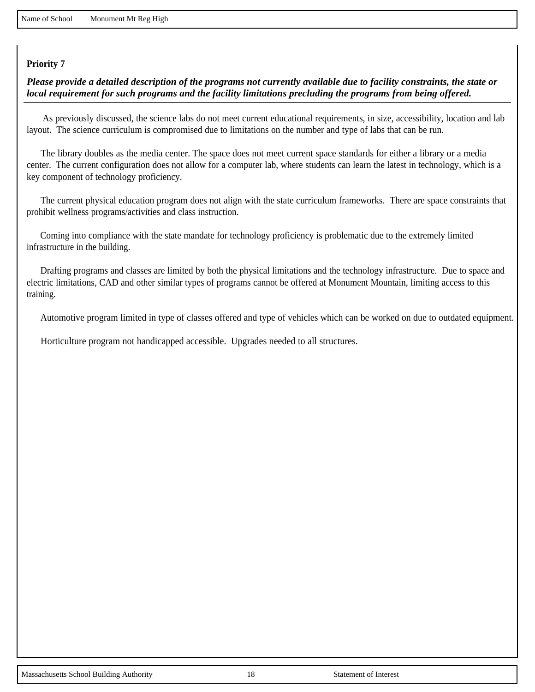*Please provide a detailed description of the programs not currently available due to facility constraints, the state or local requirement for such programs and the facility limitations precluding the programs from being offered.*

 As previously discussed, the science labs do not meet current educational requirements, in size, accessibility, location and lab layout. The science curriculum is compromised due to limitations on the number and type of labs that can be run.

 The library doubles as the media center. The space does not meet current space standards for either a library or a media center. The current configuration does not allow for a computer lab, where students can learn the latest in technology, which is a key component of technology proficiency.

 The current physical education program does not align with the state curriculum frameworks. There are space constraints that prohibit wellness programs/activities and class instruction.

 Coming into compliance with the state mandate for technology proficiency is problematic due to the extremely limited infrastructure in the building.

 Drafting programs and classes are limited by both the physical limitations and the technology infrastructure. Due to space and electric limitations, CAD and other similar types of programs cannot be offered at Monument Mountain, limiting access to this training.

Automotive program limited in type of classes offered and type of vehicles which can be worked on due to outdated equipment.

Horticulture program not handicapped accessible. Upgrades needed to all structures.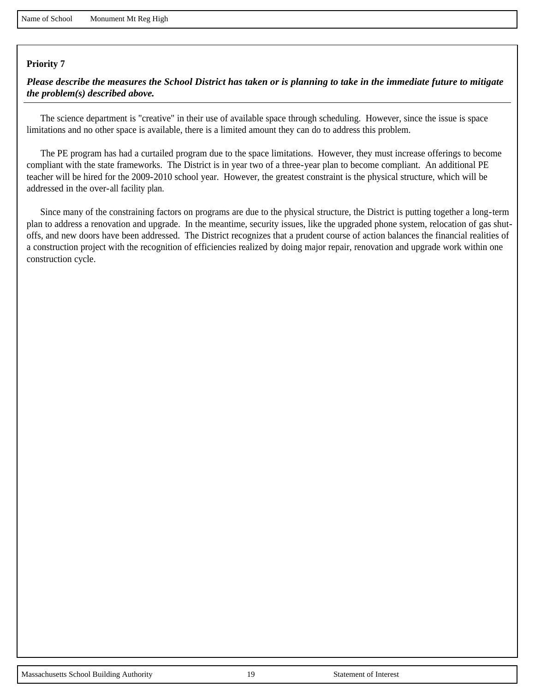*Please describe the measures the School District has taken or is planning to take in the immediate future to mitigate the problem(s) described above.*

 The science department is "creative" in their use of available space through scheduling. However, since the issue is space limitations and no other space is available, there is a limited amount they can do to address this problem.

 The PE program has had a curtailed program due to the space limitations. However, they must increase offerings to become compliant with the state frameworks. The District is in year two of a three-year plan to become compliant. An additional PE teacher will be hired for the 2009-2010 school year. However, the greatest constraint is the physical structure, which will be addressed in the over-all facility plan.

 Since many of the constraining factors on programs are due to the physical structure, the District is putting together a long-term plan to address a renovation and upgrade. In the meantime, security issues, like the upgraded phone system, relocation of gas shutoffs, and new doors have been addressed. The District recognizes that a prudent course of action balances the financial realities of a construction project with the recognition of efficiencies realized by doing major repair, renovation and upgrade work within one construction cycle.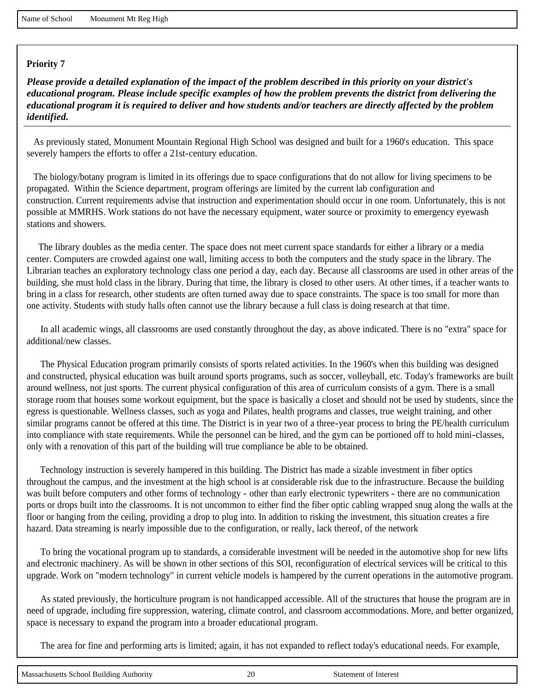*Please provide a detailed explanation of the impact of the problem described in this priority on your district's educational program. Please include specific examples of how the problem prevents the district from delivering the educational program it is required to deliver and how students and/or teachers are directly affected by the problem identified.*

 As previously stated, Monument Mountain Regional High School was designed and built for a 1960's education. This space severely hampers the efforts to offer a 21st-century education.

 The biology/botany program is limited in its offerings due to space configurations that do not allow for living specimens to be propagated. Within the Science department, program offerings are limited by the current lab configuration and construction. Current requirements advise that instruction and experimentation should occur in one room. Unfortunately, this is not possible at MMRHS. Work stations do not have the necessary equipment, water source or proximity to emergency eyewash stations and showers.

 The library doubles as the media center. The space does not meet current space standards for either a library or a media center. Computers are crowded against one wall, limiting access to both the computers and the study space in the library. The Librarian teaches an exploratory technology class one period a day, each day. Because all classrooms are used in other areas of the building, she must hold class in the library. During that time, the library is closed to other users. At other times, if a teacher wants to bring in a class for research, other students are often turned away due to space constraints. The space is too small for more than one activity. Students with study halls often cannot use the library because a full class is doing research at that time.

 In all academic wings, all classrooms are used constantly throughout the day, as above indicated. There is no "extra" space for additional/new classes.

 The Physical Education program primarily consists of sports related activities. In the 1960's when this building was designed and constructed, physical education was built around sports programs, such as soccer, volleyball, etc. Today's frameworks are built around wellness, not just sports. The current physical configuration of this area of curriculum consists of a gym. There is a small storage room that houses some workout equipment, but the space is basically a closet and should not be used by students, since the egress is questionable. Wellness classes, such as yoga and Pilates, health programs and classes, true weight training, and other similar programs cannot be offered at this time. The District is in year two of a three-year process to bring the PE/health curriculum into compliance with state requirements. While the personnel can be hired, and the gym can be portioned off to hold mini-classes, only with a renovation of this part of the building will true compliance be able to be obtained.

 Technology instruction is severely hampered in this building. The District has made a sizable investment in fiber optics throughout the campus, and the investment at the high school is at considerable risk due to the infrastructure. Because the building was built before computers and other forms of technology - other than early electronic typewriters - there are no communication ports or drops built into the classrooms. It is not uncommon to either find the fiber optic cabling wrapped snug along the walls at the floor or hanging from the ceiling, providing a drop to plug into. In addition to risking the investment, this situation creates a fire hazard. Data streaming is nearly impossible due to the configuration, or really, lack thereof, of the network

 To bring the vocational program up to standards, a considerable investment will be needed in the automotive shop for new lifts and electronic machinery. As will be shown in other sections of this SOI, reconfiguration of electrical services will be critical to this upgrade. Work on "modern technology" in current vehicle models is hampered by the current operations in the automotive program.

 As stated previously, the horticulture program is not handicapped accessible. All of the structures that house the program are in need of upgrade, including fire suppression, watering, climate control, and classroom accommodations. More, and better organized, space is necessary to expand the program into a broader educational program.

The area for fine and performing arts is limited; again, it has not expanded to reflect today's educational needs. For example,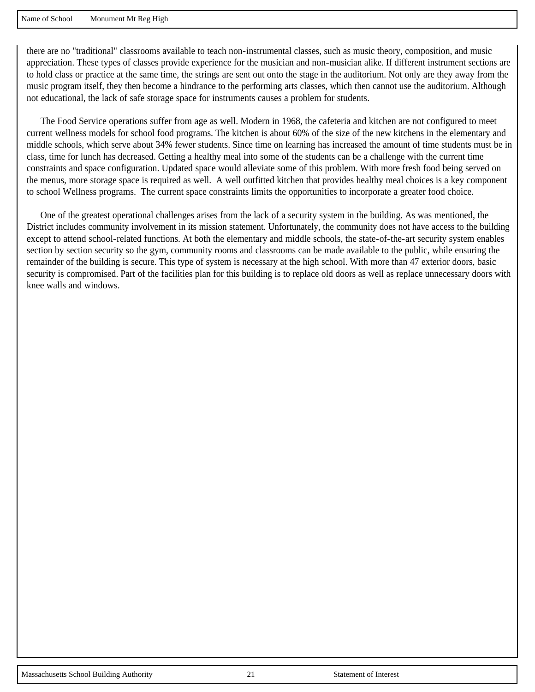there are no "traditional" classrooms available to teach non-instrumental classes, such as music theory, composition, and music appreciation. These types of classes provide experience for the musician and non-musician alike. If different instrument sections are to hold class or practice at the same time, the strings are sent out onto the stage in the auditorium. Not only are they away from the music program itself, they then become a hindrance to the performing arts classes, which then cannot use the auditorium. Although not educational, the lack of safe storage space for instruments causes a problem for students.

 The Food Service operations suffer from age as well. Modern in 1968, the cafeteria and kitchen are not configured to meet current wellness models for school food programs. The kitchen is about 60% of the size of the new kitchens in the elementary and middle schools, which serve about 34% fewer students. Since time on learning has increased the amount of time students must be in class, time for lunch has decreased. Getting a healthy meal into some of the students can be a challenge with the current time constraints and space configuration. Updated space would alleviate some of this problem. With more fresh food being served on the menus, more storage space is required as well. A well outfitted kitchen that provides healthy meal choices is a key component to school Wellness programs. The current space constraints limits the opportunities to incorporate a greater food choice.

 One of the greatest operational challenges arises from the lack of a security system in the building. As was mentioned, the District includes community involvement in its mission statement. Unfortunately, the community does not have access to the building except to attend school-related functions. At both the elementary and middle schools, the state-of-the-art security system enables section by section security so the gym, community rooms and classrooms can be made available to the public, while ensuring the remainder of the building is secure. This type of system is necessary at the high school. With more than 47 exterior doors, basic security is compromised. Part of the facilities plan for this building is to replace old doors as well as replace unnecessary doors with knee walls and windows.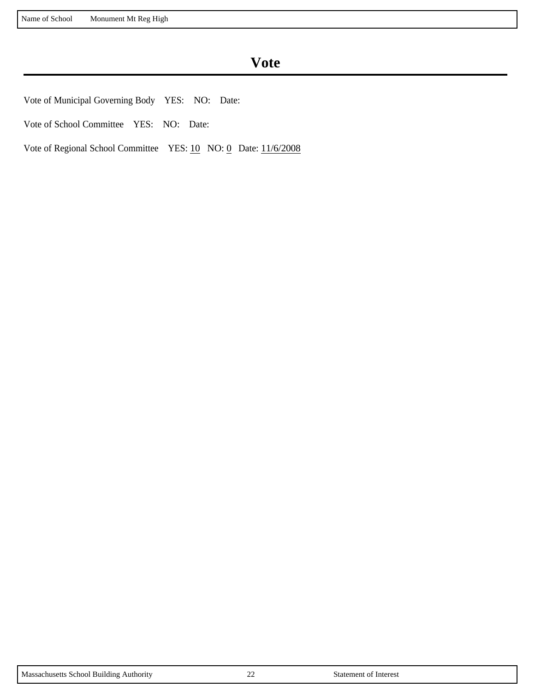## **Vote**

Vote of Municipal Governing Body YES: NO: Date:

Vote of School Committee YES: NO: Date:

Vote of Regional School Committee YES: 10 NO: 0 Date: 11/6/2008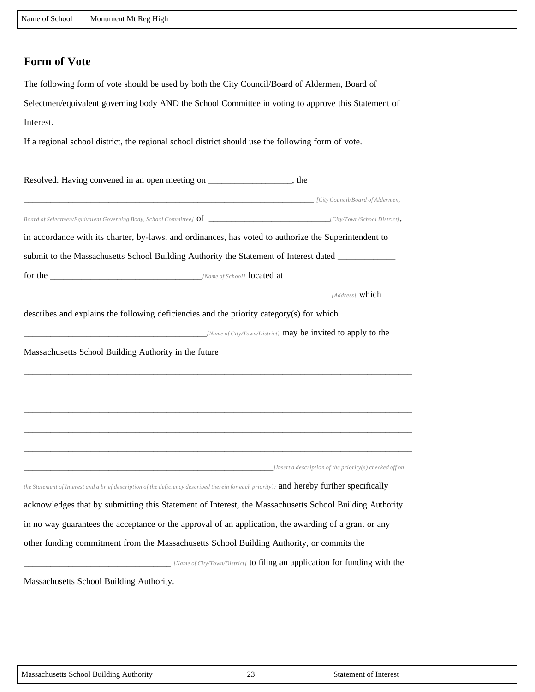### **Form of Vote**

The following form of vote should be used by both the City Council/Board of Aldermen, Board of Selectmen/equivalent governing body AND the School Committee in voting to approve this Statement of Interest.

If a regional school district, the regional school district should use the following form of vote.

| Resolved: Having convened in an open meeting on _________________, the                                                                    |  |
|-------------------------------------------------------------------------------------------------------------------------------------------|--|
| [City Council/Board of Aldermen, [City Council/Board of Aldermen,                                                                         |  |
|                                                                                                                                           |  |
| in accordance with its charter, by-laws, and ordinances, has voted to authorize the Superintendent to                                     |  |
| submit to the Massachusetts School Building Authority the Statement of Interest dated __________                                          |  |
|                                                                                                                                           |  |
| $[Address]$ which                                                                                                                         |  |
| describes and explains the following deficiencies and the priority category(s) for which                                                  |  |
| $Name of City Town/District$ may be invited to apply to the                                                                               |  |
| Massachusetts School Building Authority in the future                                                                                     |  |
|                                                                                                                                           |  |
|                                                                                                                                           |  |
|                                                                                                                                           |  |
|                                                                                                                                           |  |
|                                                                                                                                           |  |
| $[Insert a description of the priority(s) checked off on$                                                                                 |  |
| the Statement of Interest and a brief description of the deficiency described therein for each priority]; and hereby further specifically |  |
| acknowledges that by submitting this Statement of Interest, the Massachusetts School Building Authority                                   |  |
| in no way guarantees the acceptance or the approval of an application, the awarding of a grant or any                                     |  |
|                                                                                                                                           |  |
| other funding commitment from the Massachusetts School Building Authority, or commits the                                                 |  |
| $[Name of City Town/District]$ to filing an application for funding with the                                                              |  |
| Massachusetts School Building Authority.                                                                                                  |  |